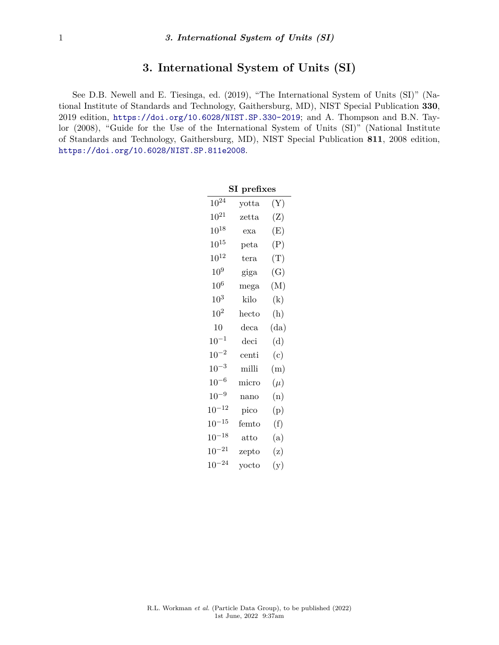## **3. International System of Units (SI)**

See D.B. Newell and E. Tiesinga, ed. (2019), "The International System of Units (SI)" (National Institute of Standards and Technology, Gaithersburg, MD), NIST Special Publication **330**, 2019 edition, <https://doi.org/10.6028/NIST.SP.330-2019>; and A. Thompson and B.N. Taylor (2008), "Guide for the Use of the International System of Units (SI)" (National Institute of Standards and Technology, Gaithersburg, MD), NIST Special Publication **811**, 2008 edition, <https://doi.org/10.6028/NIST.SP.811e2008>.

| ${\rm SI}$ prefixes |                       |                |  |
|---------------------|-----------------------|----------------|--|
| $10^{24}$           | yotta                 | $(\mathrm{Y})$ |  |
| $10^{21}$           | $\mathrm{zetta}$      | (Z)            |  |
| $10^{18}$           | exa                   | $\rm(E)$       |  |
| $10^{15}$           | peta                  | (P)            |  |
| $10^{12}$           | tera                  | $(\mathrm{T})$ |  |
| 10 <sup>9</sup>     | giga                  | (G)            |  |
| $10^6$              | mega                  | (M)            |  |
| $10^3$              | kilo                  | (k)            |  |
| $10^{2}$            | hecto                 | (h)            |  |
| 10                  | $_{\rm{deca}}$        | (da)           |  |
| $10^{-1}$           | deci                  | (d)            |  |
| $10^{-2}$           | $_{\rm{centi}}$       | (c)            |  |
| $10^{-3}$           | milli                 | (m)            |  |
| $10^{-6}$           | micro                 | $(\mu)$        |  |
| $10^{-9}$           | nano                  | (n)            |  |
| $10^{-12}$          | pico                  | (p)            |  |
| $10^{-15}$          | femto                 | (f)            |  |
| $10^{-18}$          | $\operatorname{atto}$ | (a)            |  |
| $10^{-21}$          | zepto                 | (z)            |  |
| $10^{-24}$          | yocto                 | (y)            |  |